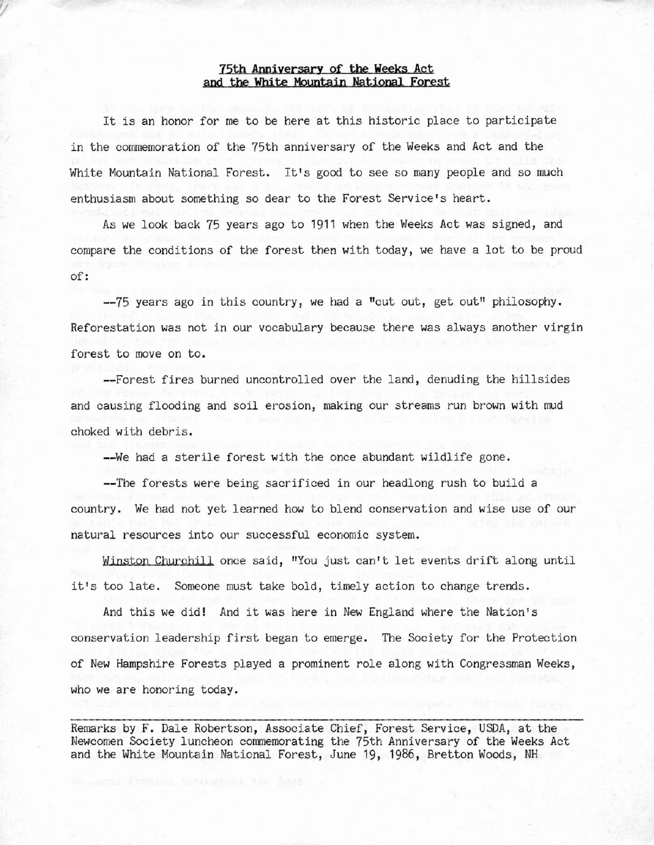## **75th Anniyersary of the weeks Act and the White Mountajn Natjonal Forest**

It is an honor for me to be here at this historic place to participate in the commemoration of the 75th anniversary of the Weeks and Act and the White Mountain National Forest. It's good to see so many people and so much **enthusiasm about something so dear to the Forest Service's heart.**

As we look back 75 years ago to 1911 when the Weeks Act was signed, and compare the conditions of the forest then with today, we have a lot to be proud of:

**--75 years ago in this country, we had a "cut out, get Dutil philosophy. Reforestation was not in our vocabulary because there was always another virgin forest to move on to.**

**--Forest fires burned uncontrolled over the land, denuding the hillsides and causing flooding and soil erosion, making our streams run brown with mud** choked with debris.

**--We had a sterile forest with the once abundant wildlife gone.**

**--The forests were being sacrificed in our headlong rush to build a country. We had not yet learned how to blend conservation and wise use of our natural resources into our successful economic system.**

**Winston Cburchill once said, "You just can't let events drift along until it's too late. Someone must take bold, timely action to change trends.**

And this we did! And it was here in New England where the Nation's conservation leadership first began to emerge. The Society for the Protection **of New Hampshire Forests played a prominent role along with Congressman Weeks, who we are honoring today.**

**Remarks by F. Dale Robertson, Associate Chief, Forest Service, USDA, at the** Newcomen Society luncheon commemorating the 75th Anniversary of the Weeks Act and the White Mountain National Forest, June 19, 1986, Bretton Woods, NH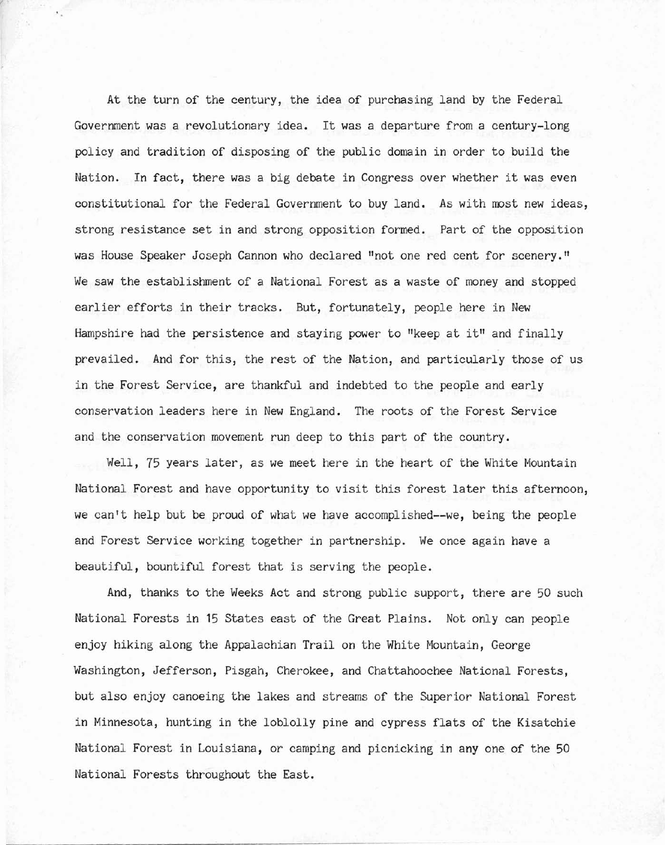At the turn of the century, the idea of purchasing land by the Federal **Government was a revolutionary idea. It was a departure from a century-long** policy and tradition of disposing of the public domain in order to build the **Nation. In fact, there was a big debate in Congress over whether it was even** constitutional for the Federal Government to buy land. As with most new ideas, **strong resistance set in and strong opposition formed. Part of the opposition was House Speaker Joseph Cannon who declared !lnot one red cent for** scenery. II **We saw the establishment of a National Forest as a waste of money and stopped earlier efforts in their tracks. But, fortunately, people here in New Hampshire had the persistence and staying power to "keep at i til and finally** prevailed. And for this, the rest of the Nation, and particularly those of us in the Forest Service, are thankful and indebted to the people and early **conservation leaders here in New England. The roots of the Forest Service and the conservation movement run deep to this part of the country.**

Well, 75 years later, as we meet here in the heart of the White Mountain **National Forest and have opportunity to visit this forest later this afternoon,** we can't help but be proud of what we have accomplished--we, being the people **and Forest Service working together in partnership. We once again have a** beautiful, bountiful forest that is serving the people.

And, thanks to the Weeks Act and strong public support, there are 50 such National Forests in 15 States east of the Great Plains. Not only can people enjoy hiking along the Appalachian Trail on the White Mountain, George **Washington, Jefferson, Pisgah, Cherokee, and Chattahoochee National Forests, but also enjoy canoeing the lakes and streams of the Superior National Forest** in Minnesota, hunting in the loblolly pine and cypress flats of the Kisatchie **National Forest in Louisiana, or camping and picnicking in anyone of the 50** National Forests throughout the East.